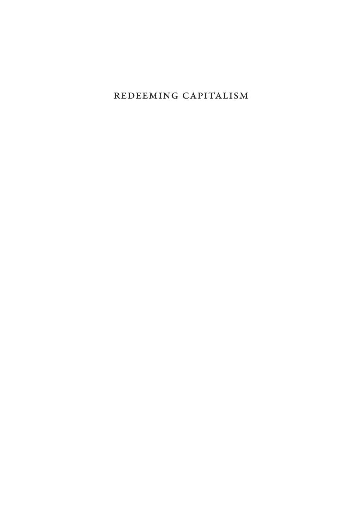Redeeming Capitalism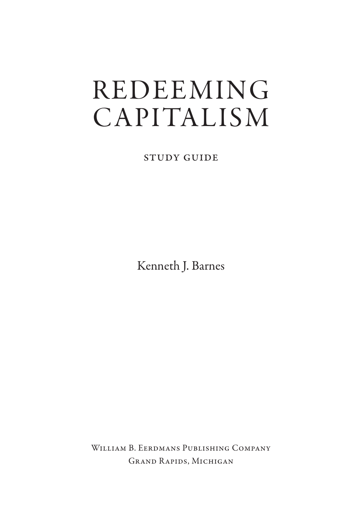# **REDEEMING CAPITALISM**

Study guide

Kenneth J. Barnes

William B. Eerdmans Publishing Company Grand Rapids, Michigan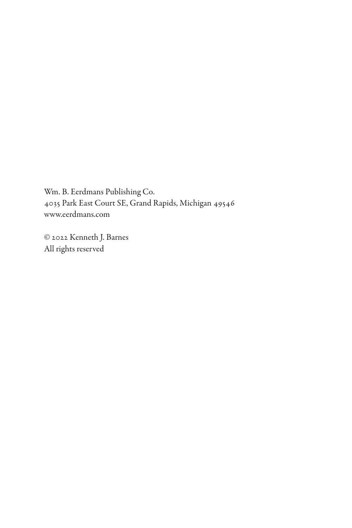Wm. B. Eerdmans Publishing Co. 4035 Park East Court SE, Grand Rapids, Michigan 49546 www.eerdmans.com

© 2022 Kenneth J. Barnes All rights reserved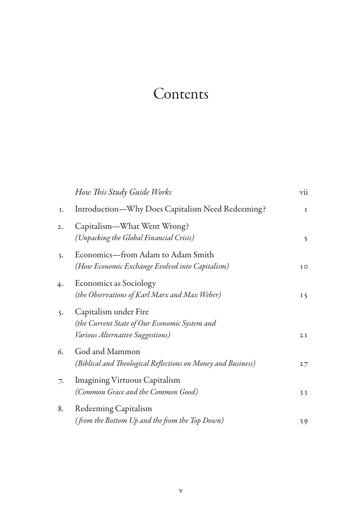## Contents

|    | How This Study Guide Works                                                                                 | vii         |
|----|------------------------------------------------------------------------------------------------------------|-------------|
| I. | Introduction—Why Does Capitalism Need Redeeming?                                                           | $\mathbf I$ |
| 2. | Capitalism—What Went Wrong?<br>(Unpacking the Global Financial Crisis)                                     | 5           |
| 3. | Economics-from Adam to Adam Smith<br>(How Economic Exchange Evolved into Capitalism)                       | I O         |
| 4. | Economics as Sociology<br>(the Observations of Karl Marx and Max Weber)                                    | $I\,$       |
| 5. | Capitalism under Fire<br>(the Current State of Our Economic System and<br>Various Alternative Suggestions) | 2I          |
| 6. | God and Mammon<br>(Biblical and Theological Reflections on Money and Business)                             | 27          |
| 7. | <b>Imagining Virtuous Capitalism</b><br>(Common Grace and the Common Good)                                 | 33          |
| 8. | Redeeming Capitalism<br>(from the Bottom Up and the from the Top Down)                                     | 39          |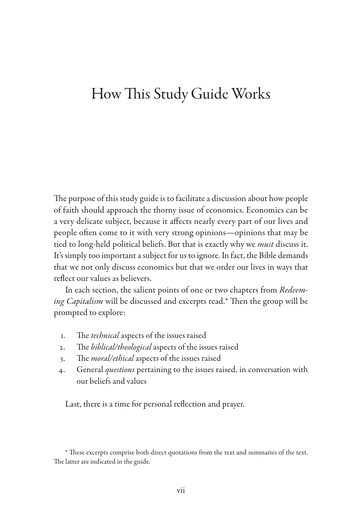## How This Study Guide Works

The purpose of this study guide is to facilitate a discussion about how people of faith should approach the thorny issue of economics. Economics can be a very delicate subject, because it affects nearly every part of our lives and people often come to it with very strong opinions—opinions that may be tied to long-held political beliefs. But that is exactly why we *must* discuss it. It's simply too important a subject for us to ignore. In fact, the Bible demands that we not only discuss economics but that we order our lives in ways that reflect our values as believers.

In each section, the salient points of one or two chapters from *Redeeming Capitalism* will be discussed and excerpts read.\* Then the group will be prompted to explore:

- 1. The *technical* aspects of the issues raised
- 2. The *biblical/theological* aspects of the issues raised
- 3. The *moral/ethical* aspects of the issues raised
- 4. General *questions* pertaining to the issues raised, in conversation with our beliefs and values

Last, there is a time for personal reflection and prayer.

<sup>\*</sup> These excerpts comprise both direct quotations from the text and summaries of the text. The latter are indicated in the guide.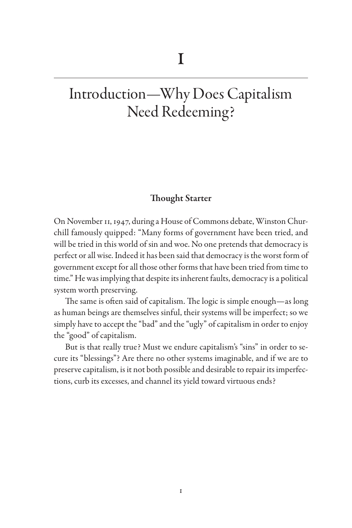## Introduction—Why Does Capitalism Need Redeeming?

### Thought Starter

On November 11, 1947, during a House of Commons debate, Winston Churchill famously quipped: "Many forms of government have been tried, and will be tried in this world of sin and woe. No one pretends that democracy is perfect or all wise. Indeed it has been said that democracy is the worst form of government except for all those other forms that have been tried from time to time." He was implying that despite its inherent faults, democracy is a political system worth preserving.

The same is often said of capitalism. The logic is simple enough—as long as human beings are themselves sinful, their systems will be imperfect; so we simply have to accept the "bad" and the "ugly" of capitalism in order to enjoy the "good" of capitalism.

But is that really true? Must we endure capitalism's "sins" in order to secure its "blessings"? Are there no other systems imaginable, and if we are to preserve capitalism, is it not both possible and desirable to repair its imperfections, curb its excesses, and channel its yield toward virtuous ends?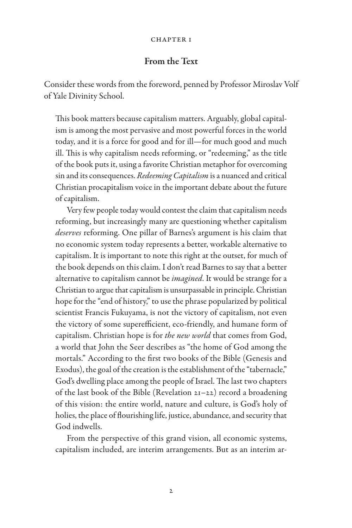### From the Text

Consider these words from the foreword, penned by Professor Miroslav Volf of Yale Divinity School.

This book matters because capitalism matters. Arguably, global capitalism is among the most pervasive and most powerful forces in the world today, and it is a force for good and for ill—for much good and much ill. This is why capitalism needs reforming, or "redeeming," as the title of the book puts it, using a favorite Christian metaphor for overcoming sin and its consequences. *Redeeming Capitalism* is a nuanced and critical Christian procapitalism voice in the important debate about the future of capitalism.

Very few people today would contest the claim that capitalism needs reforming, but increasingly many are questioning whether capitalism *deserves* reforming. One pillar of Barnes's argument is his claim that no economic system today represents a better, workable alternative to capitalism. It is important to note this right at the outset, for much of the book depends on this claim. I don't read Barnes to say that a better alternative to capitalism cannot be *imagined*. It would be strange for a Christian to argue that capitalism is unsurpassable in principle. Christian hope for the "end of history," to use the phrase popularized by political scientist Francis Fukuyama, is not the victory of capitalism, not even the victory of some superefficient, eco-friendly, and humane form of capitalism. Christian hope is for *the new world* that comes from God, a world that John the Seer describes as "the home of God among the mortals." According to the first two books of the Bible (Genesis and Exodus), the goal of the creation is the establishment of the "tabernacle," God's dwelling place among the people of Israel. The last two chapters of the last book of the Bible (Revelation 21–22) record a broadening of this vision: the entire world, nature and culture, is God's holy of holies, the place of flourishing life, justice, abundance, and security that God indwells.

From the perspective of this grand vision, all economic systems, capitalism included, are interim arrangements. But as an interim ar-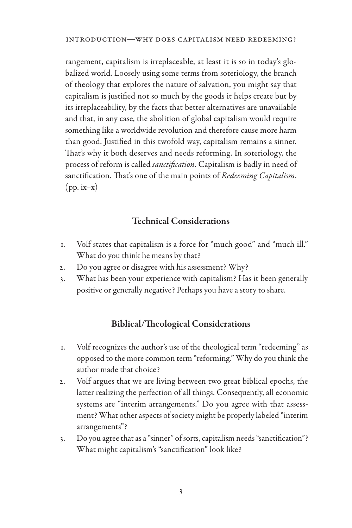rangement, capitalism is irreplaceable, at least it is so in today's globalized world. Loosely using some terms from soteriology, the branch of theology that explores the nature of salvation, you might say that capitalism is justified not so much by the goods it helps create but by its irreplaceability, by the facts that better alternatives are unavailable and that, in any case, the abolition of global capitalism would require something like a worldwide revolution and therefore cause more harm than good. Justified in this twofold way, capitalism remains a sinner. That's why it both deserves and needs reforming. In soteriology, the process of reform is called *sanctification*. Capitalism is badly in need of sanctification. That's one of the main points of *Redeeming Capitalism*.  $(pp.$  ix–x $)$ 

## Technical Considerations

- 1. Volf states that capitalism is a force for "much good" and "much ill." What do you think he means by that?
- 2. Do you agree or disagree with his assessment? Why?
- 3. What has been your experience with capitalism? Has it been generally positive or generally negative? Perhaps you have a story to share.

## Biblical/Theological Considerations

- 1. Volf recognizes the author's use of the theological term "redeeming" as opposed to the more common term "reforming." Why do you think the author made that choice?
- 2. Volf argues that we are living between two great biblical epochs, the latter realizing the perfection of all things. Consequently, all economic systems are "interim arrangements." Do you agree with that assessment? What other aspects of society might be properly labeled "interim arrangements"?
- 3. Do you agree that as a "sinner" of sorts, capitalism needs "sanctification"? What might capitalism's "sanctification" look like?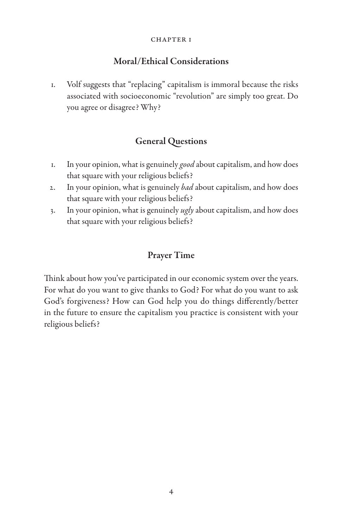## Moral/Ethical Considerations

1. Volf suggests that "replacing" capitalism is immoral because the risks associated with socioeconomic "revolution" are simply too great. Do you agree or disagree? Why?

## General Questions

- 1. In your opinion, what is genuinely *good* about capitalism, and how does that square with your religious beliefs?
- 2. In your opinion, what is genuinely *bad* about capitalism, and how does that square with your religious beliefs?
- 3. In your opinion, what is genuinely *ugly* about capitalism, and how does that square with your religious beliefs?

## Prayer Time

Think about how you've participated in our economic system over the years. For what do you want to give thanks to God? For what do you want to ask God's forgiveness? How can God help you do things differently/better in the future to ensure the capitalism you practice is consistent with your religious beliefs?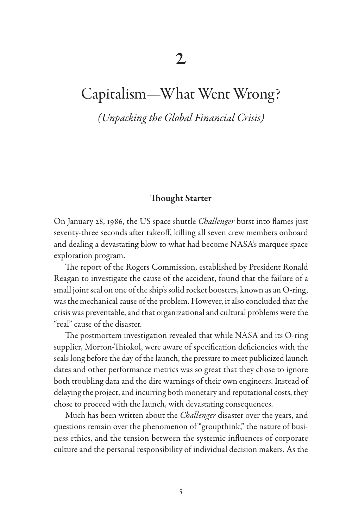## Capitalism—What Went Wrong?

*(Unpacking the Global Financial Crisis)*

### Thought Starter

On January 28, 1986, the US space shuttle *Challenger* burst into flames just seventy-three seconds after takeoff, killing all seven crew members onboard and dealing a devastating blow to what had become NASA's marquee space exploration program.

The report of the Rogers Commission, established by President Ronald Reagan to investigate the cause of the accident, found that the failure of a small joint seal on one of the ship's solid rocket boosters, known as an O-ring, was the mechanical cause of the problem. However, it also concluded that the crisis was preventable, and that organizational and cultural problems were the "real" cause of the disaster.

The postmortem investigation revealed that while NASA and its O-ring supplier, Morton-Thiokol, were aware of specification deficiencies with the seals long before the day of the launch, the pressure to meet publicized launch dates and other performance metrics was so great that they chose to ignore both troubling data and the dire warnings of their own engineers. Instead of delaying the project, and incurring both monetary and reputational costs, they chose to proceed with the launch, with devastating consequences.

Much has been written about the *Challenger* disaster over the years, and questions remain over the phenomenon of "groupthink," the nature of business ethics, and the tension between the systemic influences of corporate culture and the personal responsibility of individual decision makers. As the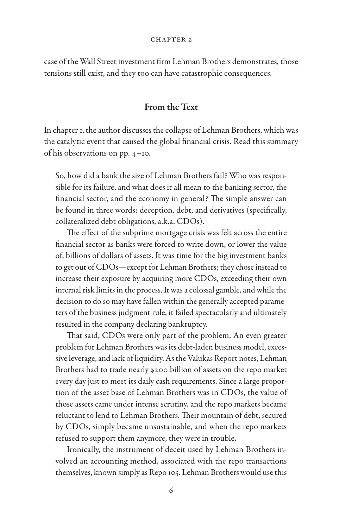#### CHAPTER<sub>2</sub>

case of the Wall Street investment firm Lehman Brothers demonstrates, those tensions still exist, and they too can have catastrophic consequences.

#### From the Text

In chapter 1, the author discusses the collapse of Lehman Brothers, which was the catalytic event that caused the global financial crisis. Read this summary of his observations on pp. 4–10.

So, how did a bank the size of Lehman Brothers fail? Who was responsible for its failure, and what does it all mean to the banking sector, the financial sector, and the economy in general? The simple answer can be found in three words: deception, debt, and derivatives (specifically, collateralized debt obligations, a.k.a. CDOs).

The effect of the subprime mortgage crisis was felt across the entire financial sector as banks were forced to write down, or lower the value of, billions of dollars of assets. It was time for the big investment banks to get out of CDOs—except for Lehman Brothers; they chose instead to increase their exposure by acquiring more CDOs, exceeding their own internal risk limits in the process. It was a colossal gamble, and while the decision to do so may have fallen within the generally accepted parameters of the business judgment rule, it failed spectacularly and ultimately resulted in the company declaring bankruptcy.

That said, CDOs were only part of the problem. An even greater problem for Lehman Brothers was its debt-laden business model, excessive leverage, and lack of liquidity. As the Valukas Report notes, Lehman Brothers had to trade nearly \$200 billion of assets on the repo market every day just to meet its daily cash requirements. Since a large proportion of the asset base of Lehman Brothers was in CDOs, the value of those assets came under intense scrutiny, and the repo markets became reluctant to lend to Lehman Brothers. Their mountain of debt, secured by CDOs, simply became unsustainable, and when the repo markets refused to support them anymore, they were in trouble.

Ironically, the instrument of deceit used by Lehman Brothers involved an accounting method, associated with the repo transactions themselves, known simply as Repo 105. Lehman Brothers would use this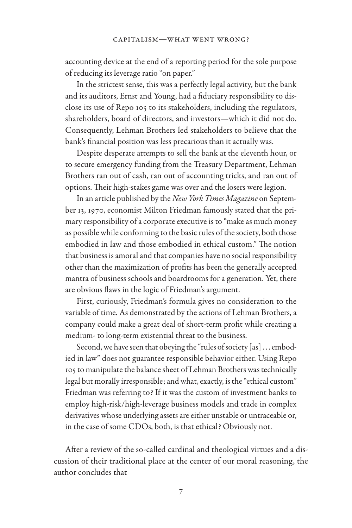accounting device at the end of a reporting period for the sole purpose of reducing its leverage ratio "on paper."

In the strictest sense, this was a perfectly legal activity, but the bank and its auditors, Ernst and Young, had a fiduciary responsibility to disclose its use of Repo 105 to its stakeholders, including the regulators, shareholders, board of directors, and investors—which it did not do. Consequently, Lehman Brothers led stakeholders to believe that the bank's financial position was less precarious than it actually was.

Despite desperate attempts to sell the bank at the eleventh hour, or to secure emergency funding from the Treasury Department, Lehman Brothers ran out of cash, ran out of accounting tricks, and ran out of options. Their high-stakes game was over and the losers were legion.

In an article published by the *New York Times Magazine* on September 13, 1970, economist Milton Friedman famously stated that the primary responsibility of a corporate executive is to "make as much money as possible while conforming to the basic rules of the society, both those embodied in law and those embodied in ethical custom." The notion that business is amoral and that companies have no social responsibility other than the maximization of profits has been the generally accepted mantra of business schools and boardrooms for a generation. Yet, there are obvious flaws in the logic of Friedman's argument.

First, curiously, Friedman's formula gives no consideration to the variable of time. As demonstrated by the actions of Lehman Brothers, a company could make a great deal of short-term profit while creating a medium- to long-term existential threat to the business.

Second, we have seen that obeying the "rules of society [as] . . . embodied in law" does not guarantee responsible behavior either. Using Repo 105 to manipulate the balance sheet of Lehman Brothers was technically legal but morally irresponsible; and what, exactly, is the "ethical custom" Friedman was referring to? If it was the custom of investment banks to employ high-risk/high-leverage business models and trade in complex derivatives whose underlying assets are either unstable or untraceable or, in the case of some CDOs, both, is that ethical? Obviously not.

After a review of the so-called cardinal and theological virtues and a discussion of their traditional place at the center of our moral reasoning, the author concludes that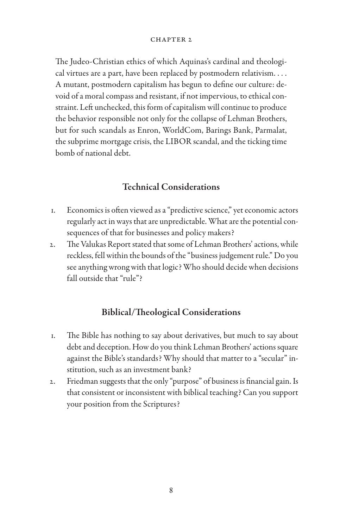#### CHAPTER<sub>2</sub>

The Judeo-Christian ethics of which Aquinas's cardinal and theological virtues are a part, have been replaced by postmodern relativism. . . . A mutant, postmodern capitalism has begun to define our culture: devoid of a moral compass and resistant, if not impervious, to ethical constraint. Left unchecked, this form of capitalism will continue to produce the behavior responsible not only for the collapse of Lehman Brothers, but for such scandals as Enron, WorldCom, Barings Bank, Parmalat, the subprime mortgage crisis, the LIBOR scandal, and the ticking time bomb of national debt.

## Technical Considerations

- 1. Economics is often viewed as a "predictive science," yet economic actors regularly act in ways that are unpredictable. What are the potential consequences of that for businesses and policy makers?
- 2. The Valukas Report stated that some of Lehman Brothers' actions, while reckless, fell within the bounds of the "business judgement rule." Do you see anything wrong with that logic? Who should decide when decisions fall outside that "rule"?

## Biblical/Theological Considerations

- 1. The Bible has nothing to say about derivatives, but much to say about debt and deception. How do you think Lehman Brothers' actions square against the Bible's standards? Why should that matter to a "secular" institution, such as an investment bank?
- 2. Friedman suggests that the only "purpose" of business is financial gain. Is that consistent or inconsistent with biblical teaching? Can you support your position from the Scriptures?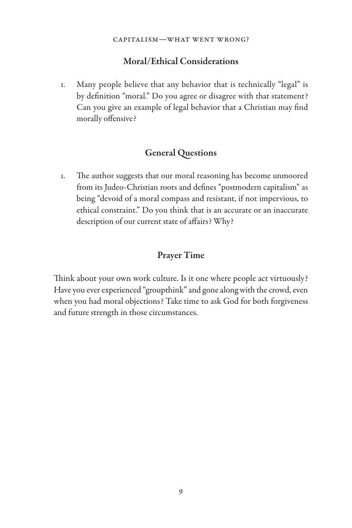## Moral/Ethical Considerations

1. Many people believe that any behavior that is technically "legal" is by definition "moral." Do you agree or disagree with that statement? Can you give an example of legal behavior that a Christian may find morally offensive?

## General Questions

1. The author suggests that our moral reasoning has become unmoored from its Judeo-Christian roots and defines "postmodern capitalism" as being "devoid of a moral compass and resistant, if not impervious, to ethical constraint." Do you think that is an accurate or an inaccurate description of our current state of affairs? Why?

## Prayer Time

Think about your own work culture. Is it one where people act virtuously? Have you ever experienced "groupthink" and gone along with the crowd, even when you had moral objections? Take time to ask God for both forgiveness and future strength in those circumstances.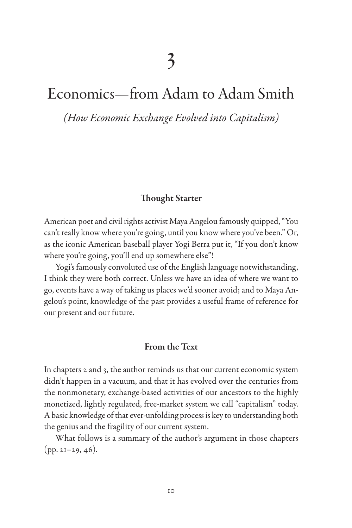## Economics—from Adam to Adam Smith

*(How Economic Exchange Evolved into Capitalism)*

### Thought Starter

American poet and civil rights activist Maya Angelou famously quipped, "You can't really know where you're going, until you know where you've been." Or, as the iconic American baseball player Yogi Berra put it, "If you don't know where you're going, you'll end up somewhere else"!

Yogi's famously convoluted use of the English language notwithstanding, I think they were both correct. Unless we have an idea of where we want to go, events have a way of taking us places we'd sooner avoid; and to Maya Angelou's point, knowledge of the past provides a useful frame of reference for our present and our future.

### From the Text

In chapters 2 and 3, the author reminds us that our current economic system didn't happen in a vacuum, and that it has evolved over the centuries from the nonmonetary, exchange-based activities of our ancestors to the highly monetized, lightly regulated, free-market system we call "capitalism" today. A basic knowledge of that ever-unfolding process is key to understanding both the genius and the fragility of our current system.

What follows is a summary of the author's argument in those chapters (pp. 21–29, 46).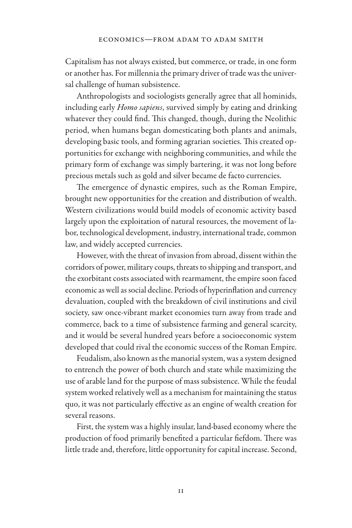Capitalism has not always existed, but commerce, or trade, in one form or another has. For millennia the primary driver of trade was the universal challenge of human subsistence.

Anthropologists and sociologists generally agree that all hominids, including early *Homo sapiens*, survived simply by eating and drinking whatever they could find. This changed, though, during the Neolithic period, when humans began domesticating both plants and animals, developing basic tools, and forming agrarian societies. This created opportunities for exchange with neighboring communities, and while the primary form of exchange was simply bartering, it was not long before precious metals such as gold and silver became de facto currencies.

The emergence of dynastic empires, such as the Roman Empire, brought new opportunities for the creation and distribution of wealth. Western civilizations would build models of economic activity based largely upon the exploitation of natural resources, the movement of labor, technological development, industry, international trade, common law, and widely accepted currencies.

However, with the threat of invasion from abroad, dissent within the corridors of power, military coups, threats to shipping and transport, and the exorbitant costs associated with rearmament, the empire soon faced economic as well as social decline. Periods of hyperinflation and currency devaluation, coupled with the breakdown of civil institutions and civil society, saw once-vibrant market economies turn away from trade and commerce, back to a time of subsistence farming and general scarcity, and it would be several hundred years before a socioeconomic system developed that could rival the economic success of the Roman Empire.

Feudalism, also known as the manorial system, was a system designed to entrench the power of both church and state while maximizing the use of arable land for the purpose of mass subsistence. While the feudal system worked relatively well as a mechanism for maintaining the status quo, it was not particularly effective as an engine of wealth creation for several reasons.

First, the system was a highly insular, land-based economy where the production of food primarily benefited a particular fiefdom. There was little trade and, therefore, little opportunity for capital increase. Second,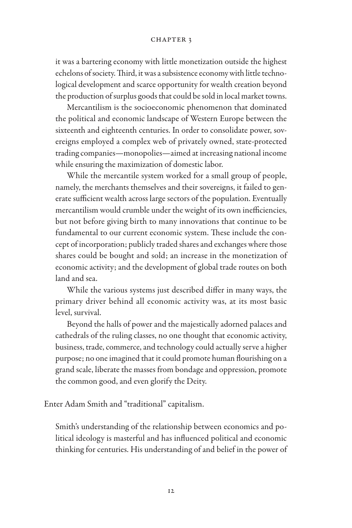it was a bartering economy with little monetization outside the highest echelons of society. Third, it was a subsistence economy with little technological development and scarce opportunity for wealth creation beyond the production of surplus goods that could be sold in local market towns.

Mercantilism is the socioeconomic phenomenon that dominated the political and economic landscape of Western Europe between the sixteenth and eighteenth centuries. In order to consolidate power, sovereigns employed a complex web of privately owned, state-protected trading companies—monopolies—aimed at increasing national income while ensuring the maximization of domestic labor.

While the mercantile system worked for a small group of people, namely, the merchants themselves and their sovereigns, it failed to generate sufficient wealth across large sectors of the population. Eventually mercantilism would crumble under the weight of its own inefficiencies, but not before giving birth to many innovations that continue to be fundamental to our current economic system. These include the concept of incorporation; publicly traded shares and exchanges where those shares could be bought and sold; an increase in the monetization of economic activity; and the development of global trade routes on both land and sea.

While the various systems just described differ in many ways, the primary driver behind all economic activity was, at its most basic level, survival.

Beyond the halls of power and the majestically adorned palaces and cathedrals of the ruling classes, no one thought that economic activity, business, trade, commerce, and technology could actually serve a higher purpose; no one imagined that it could promote human flourishing on a grand scale, liberate the masses from bondage and oppression, promote the common good, and even glorify the Deity.

Enter Adam Smith and "traditional" capitalism.

Smith's understanding of the relationship between economics and political ideology is masterful and has influenced political and economic thinking for centuries. His understanding of and belief in the power of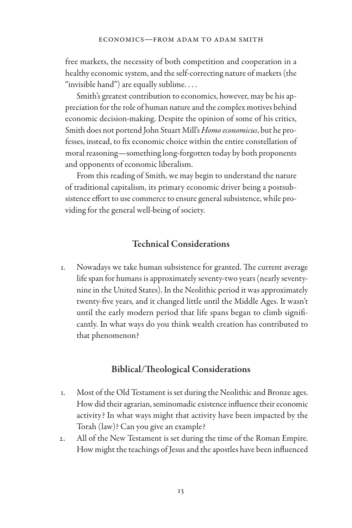free markets, the necessity of both competition and cooperation in a healthy economic system, and the self-correcting nature of markets (the "invisible hand") are equally sublime.  $\dots$ 

Smith's greatest contribution to economics, however, may be his appreciation for the role of human nature and the complex motives behind economic decision-making. Despite the opinion of some of his critics, Smith does not portend John Stuart Mill's *Homo economicus*, but he professes, instead, to fix economic choice within the entire constellation of moral reasoning—something long-forgotten today by both proponents and opponents of economic liberalism.

From this reading of Smith, we may begin to understand the nature of traditional capitalism, its primary economic driver being a postsubsistence effort to use commerce to ensure general subsistence, while providing for the general well-being of society.

### Technical Considerations

1. Nowadays we take human subsistence for granted. The current average life span for humans is approximately seventy-two years (nearly seventynine in the United States). In the Neolithic period it was approximately twenty-five years, and it changed little until the Middle Ages. It wasn't until the early modern period that life spans began to climb significantly. In what ways do you think wealth creation has contributed to that phenomenon?

### Biblical/Theological Considerations

- 1. Most of the Old Testament is set during the Neolithic and Bronze ages. How did their agrarian, seminomadic existence influence their economic activity? In what ways might that activity have been impacted by the Torah (law)? Can you give an example?
- 2. All of the New Testament is set during the time of the Roman Empire. How might the teachings of Jesus and the apostles have been influenced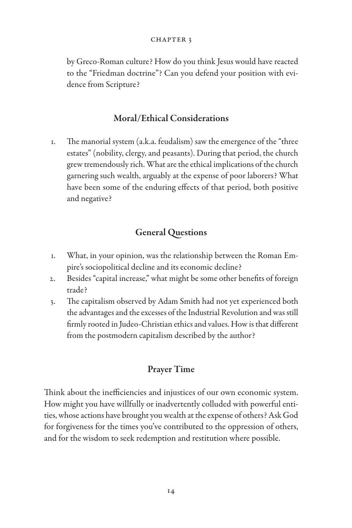by Greco-Roman culture? How do you think Jesus would have reacted to the "Friedman doctrine"? Can you defend your position with evidence from Scripture?

## Moral/Ethical Considerations

1. The manorial system (a.k.a. feudalism) saw the emergence of the "three estates" (nobility, clergy, and peasants). During that period, the church grew tremendously rich. What are the ethical implications of the church garnering such wealth, arguably at the expense of poor laborers? What have been some of the enduring effects of that period, both positive and negative?

## General Questions

- 1. What, in your opinion, was the relationship between the Roman Empire's sociopolitical decline and its economic decline?
- 2. Besides "capital increase," what might be some other benefits of foreign trade?
- 3. The capitalism observed by Adam Smith had not yet experienced both the advantages and the excesses of the Industrial Revolution and was still firmly rooted in Judeo-Christian ethics and values. How is that different from the postmodern capitalism described by the author?

## Prayer Time

Think about the inefficiencies and injustices of our own economic system. How might you have willfully or inadvertently colluded with powerful entities, whose actions have brought you wealth at the expense of others? Ask God for forgiveness for the times you've contributed to the oppression of others, and for the wisdom to seek redemption and restitution where possible.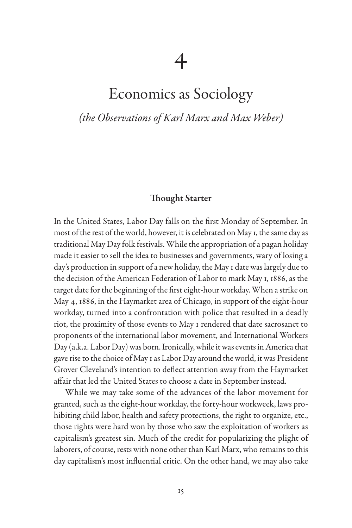## Economics as Sociology

*(the Observations of Karl Marx and Max Weber)*

#### Thought Starter

In the United States, Labor Day falls on the first Monday of September. In most of the rest of the world, however, it is celebrated on May 1, the same day as traditional May Day folk festivals. While the appropriation of a pagan holiday made it easier to sell the idea to businesses and governments, wary of losing a day's production in support of a new holiday, the May 1 date was largely due to the decision of the American Federation of Labor to mark May 1, 1886, as the target date for the beginning of the first eight-hour workday. When a strike on May 4, 1886, in the Haymarket area of Chicago, in support of the eight-hour workday, turned into a confrontation with police that resulted in a deadly riot, the proximity of those events to May 1 rendered that date sacrosanct to proponents of the international labor movement, and International Workers Day (a.k.a. Labor Day) was born. Ironically, while it was events in America that gave rise to the choice of May 1 as Labor Day around the world, it was President Grover Cleveland's intention to deflect attention away from the Haymarket affair that led the United States to choose a date in September instead.

While we may take some of the advances of the labor movement for granted, such as the eight-hour workday, the forty-hour workweek, laws prohibiting child labor, health and safety protections, the right to organize, etc., those rights were hard won by those who saw the exploitation of workers as capitalism's greatest sin. Much of the credit for popularizing the plight of laborers, of course, rests with none other than Karl Marx, who remains to this day capitalism's most influential critic. On the other hand, we may also take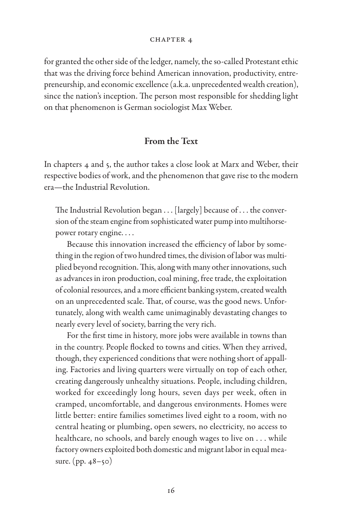for granted the other side of the ledger, namely, the so-called Protestant ethic that was the driving force behind American innovation, productivity, entrepreneurship, and economic excellence (a.k.a. unprecedented wealth creation), since the nation's inception. The person most responsible for shedding light on that phenomenon is German sociologist Max Weber.

#### From the Text

In chapters 4 and 5, the author takes a close look at Marx and Weber, their respective bodies of work, and the phenomenon that gave rise to the modern era—the Industrial Revolution.

The Industrial Revolution began . . . [largely] because of . . . the conversion of the steam engine from sophisticated water pump into multihorsepower rotary engine. . . .

Because this innovation increased the efficiency of labor by something in the region of two hundred times, the division of labor was multiplied beyond recognition. This, along with many other innovations, such as advances in iron production, coal mining, free trade, the exploitation of colonial resources, and a more efficient banking system, created wealth on an unprecedented scale. That, of course, was the good news. Unfortunately, along with wealth came unimaginably devastating changes to nearly every level of society, barring the very rich.

For the first time in history, more jobs were available in towns than in the country. People flocked to towns and cities. When they arrived, though, they experienced conditions that were nothing short of appalling. Factories and living quarters were virtually on top of each other, creating dangerously unhealthy situations. People, including children, worked for exceedingly long hours, seven days per week, often in cramped, uncomfortable, and dangerous environments. Homes were little better: entire families sometimes lived eight to a room, with no central heating or plumbing, open sewers, no electricity, no access to healthcare, no schools, and barely enough wages to live on . . . while factory owners exploited both domestic and migrant labor in equal measure. (pp. 48–50)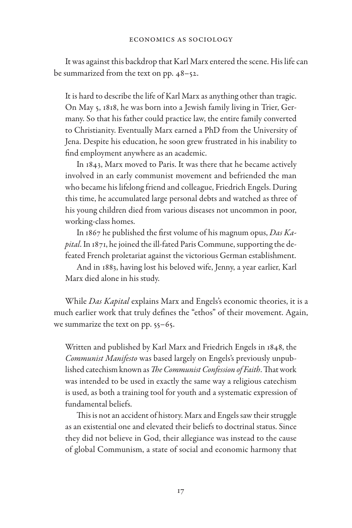It was against this backdrop that Karl Marx entered the scene. His life can be summarized from the text on pp. 48–52.

It is hard to describe the life of Karl Marx as anything other than tragic. On May 5, 1818, he was born into a Jewish family living in Trier, Germany. So that his father could practice law, the entire family converted to Christianity. Eventually Marx earned a PhD from the University of Jena. Despite his education, he soon grew frustrated in his inability to find employment anywhere as an academic.

In 1843, Marx moved to Paris. It was there that he became actively involved in an early communist movement and befriended the man who became his lifelong friend and colleague, Friedrich Engels. During this time, he accumulated large personal debts and watched as three of his young children died from various diseases not uncommon in poor, working-class homes.

In 1867 he published the first volume of his magnum opus, *Das Kapital*. In 1871, he joined the ill-fated Paris Commune, supporting the defeated French proletariat against the victorious German establishment.

And in 1883, having lost his beloved wife, Jenny, a year earlier, Karl Marx died alone in his study.

While *Das Kapital* explains Marx and Engels's economic theories, it is a much earlier work that truly defines the "ethos" of their movement. Again, we summarize the text on pp. 55–65.

Written and published by Karl Marx and Friedrich Engels in 1848, the *Communist Manifesto* was based largely on Engels's previously unpublished catechism known as *The Communist Confession of Faith*. That work was intended to be used in exactly the same way a religious catechism is used, as both a training tool for youth and a systematic expression of fundamental beliefs.

This is not an accident of history. Marx and Engels saw their struggle as an existential one and elevated their beliefs to doctrinal status. Since they did not believe in God, their allegiance was instead to the cause of global Communism, a state of social and economic harmony that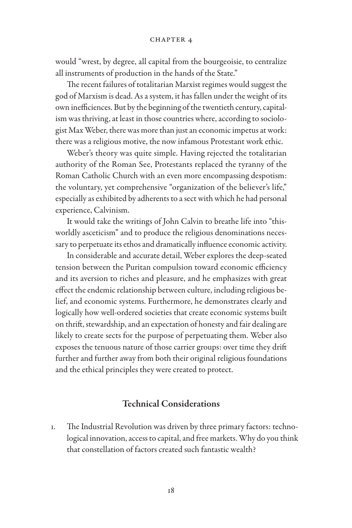would "wrest, by degree, all capital from the bourgeoisie, to centralize all instruments of production in the hands of the State."

The recent failures of totalitarian Marxist regimes would suggest the god of Marxism is dead. As a system, it has fallen under the weight of its own inefficiences. But by the beginning of the twentieth century, capitalism was thriving, at least in those countries where, according to sociologist Max Weber, there was more than just an economic impetus at work: there was a religious motive, the now infamous Protestant work ethic.

Weber's theory was quite simple. Having rejected the totalitarian authority of the Roman See, Protestants replaced the tyranny of the Roman Catholic Church with an even more encompassing despotism: the voluntary, yet comprehensive "organization of the believer's life," especially as exhibited by adherents to a sect with which he had personal experience, Calvinism.

It would take the writings of John Calvin to breathe life into "thisworldly asceticism" and to produce the religious denominations necessary to perpetuate its ethos and dramatically influence economic activity.

In considerable and accurate detail, Weber explores the deep-seated tension between the Puritan compulsion toward economic efficiency and its aversion to riches and pleasure, and he emphasizes with great effect the endemic relationship between culture, including religious belief, and economic systems. Furthermore, he demonstrates clearly and logically how well-ordered societies that create economic systems built on thrift, stewardship, and an expectation of honesty and fair dealing are likely to create sects for the purpose of perpetuating them. Weber also exposes the tenuous nature of those carrier groups: over time they drift further and further away from both their original religious foundations and the ethical principles they were created to protect.

#### Technical Considerations

1. The Industrial Revolution was driven by three primary factors: technological innovation, access to capital, and free markets. Why do you think that constellation of factors created such fantastic wealth?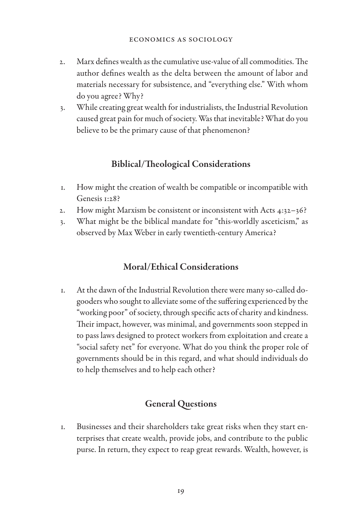- 2. Marx defines wealth as the cumulative use-value of all commodities. The author defines wealth as the delta between the amount of labor and materials necessary for subsistence, and "everything else." With whom do you agree? Why?
- 3. While creating great wealth for industrialists, the Industrial Revolution caused great pain for much of society. Was that inevitable? What do you believe to be the primary cause of that phenomenon?

## Biblical/Theological Considerations

- 1. How might the creation of wealth be compatible or incompatible with Genesis 1:28?
- 2. How might Marxism be consistent or inconsistent with Acts 4:32–36?
- 3. What might be the biblical mandate for "this-worldly asceticism," as observed by Max Weber in early twentieth-century America?

## Moral/Ethical Considerations

1. At the dawn of the Industrial Revolution there were many so-called dogooders who sought to alleviate some of the suffering experienced by the "working poor" of society, through specific acts of charity and kindness. Their impact, however, was minimal, and governments soon stepped in to pass laws designed to protect workers from exploitation and create a "social safety net" for everyone. What do you think the proper role of governments should be in this regard, and what should individuals do to help themselves and to help each other?

## General Questions

1. Businesses and their shareholders take great risks when they start enterprises that create wealth, provide jobs, and contribute to the public purse. In return, they expect to reap great rewards. Wealth, however, is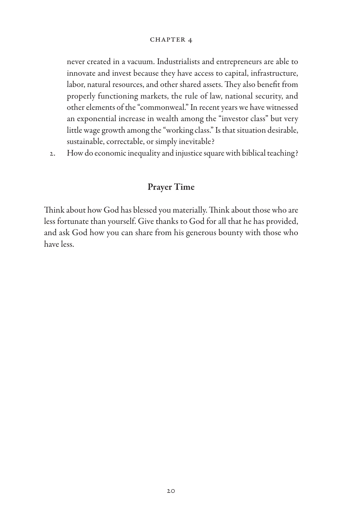never created in a vacuum. Industrialists and entrepreneurs are able to innovate and invest because they have access to capital, infrastructure, labor, natural resources, and other shared assets. They also benefit from properly functioning markets, the rule of law, national security, and other elements of the "commonweal." In recent years we have witnessed an exponential increase in wealth among the "investor class" but very little wage growth among the "working class." Is that situation desirable, sustainable, correctable, or simply inevitable?

2. How do economic inequality and injustice square with biblical teaching?

## Prayer Time

Think about how God has blessed you materially. Think about those who are less fortunate than yourself. Give thanks to God for all that he has provided, and ask God how you can share from his generous bounty with those who have less.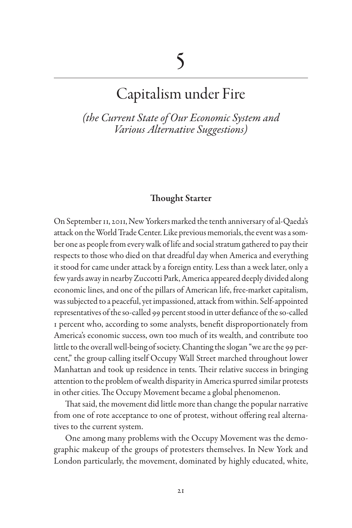## Capitalism under Fire

*(the Current State of Our Economic System and Various Alternative Suggestions)*

#### Thought Starter

On September 11, 2011, New Yorkers marked the tenth anniversary of al-Qaeda's attack on the World Trade Center. Like previous memorials, the event was a somber one as people from every walk of life and social stratum gathered to pay their respects to those who died on that dreadful day when America and everything it stood for came under attack by a foreign entity. Less than a week later, only a few yards away in nearby Zuccotti Park, America appeared deeply divided along economic lines, and one of the pillars of American life, free-market capitalism, was subjected to a peaceful, yet impassioned, attack from within. Self-appointed representatives of the so-called 99 percent stood in utter defiance of the so-called 1 percent who, according to some analysts, benefit disproportionately from America's economic success, own too much of its wealth, and contribute too little to the overall well-being of society. Chanting the slogan "we are the 99 percent," the group calling itself Occupy Wall Street marched throughout lower Manhattan and took up residence in tents. Their relative success in bringing attention to the problem of wealth disparity in America spurred similar protests in other cities. The Occupy Movement became a global phenomenon.

That said, the movement did little more than change the popular narrative from one of rote acceptance to one of protest, without offering real alternatives to the current system.

One among many problems with the Occupy Movement was the demographic makeup of the groups of protesters themselves. In New York and London particularly, the movement, dominated by highly educated, white,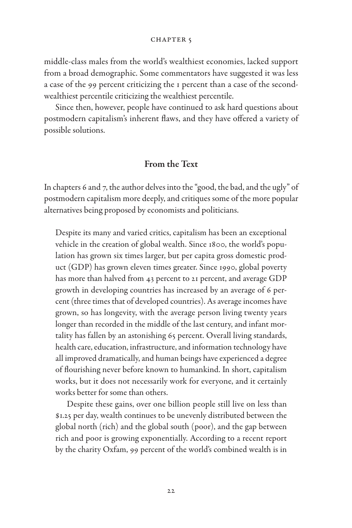middle-class males from the world's wealthiest economies, lacked support from a broad demographic. Some commentators have suggested it was less a case of the 99 percent criticizing the 1 percent than a case of the secondwealthiest percentile criticizing the wealthiest percentile.

Since then, however, people have continued to ask hard questions about postmodern capitalism's inherent flaws, and they have offered a variety of possible solutions.

### From the Text

In chapters 6 and 7, the author delves into the "good, the bad, and the ugly" of postmodern capitalism more deeply, and critiques some of the more popular alternatives being proposed by economists and politicians.

Despite its many and varied critics, capitalism has been an exceptional vehicle in the creation of global wealth. Since 1800, the world's population has grown six times larger, but per capita gross domestic product (GDP) has grown eleven times greater. Since 1990, global poverty has more than halved from 43 percent to 21 percent, and average GDP growth in developing countries has increased by an average of 6 percent (three times that of developed countries). As average incomes have grown, so has longevity, with the average person living twenty years longer than recorded in the middle of the last century, and infant mortality has fallen by an astonishing 65 percent. Overall living standards, health care, education, infrastructure, and information technology have all improved dramatically, and human beings have experienced a degree of flourishing never before known to humankind. In short, capitalism works, but it does not necessarily work for everyone, and it certainly works better for some than others.

Despite these gains, over one billion people still live on less than \$1.25 per day, wealth continues to be unevenly distributed between the global north (rich) and the global south (poor), and the gap between rich and poor is growing exponentially. According to a recent report by the charity Oxfam, 99 percent of the world's combined wealth is in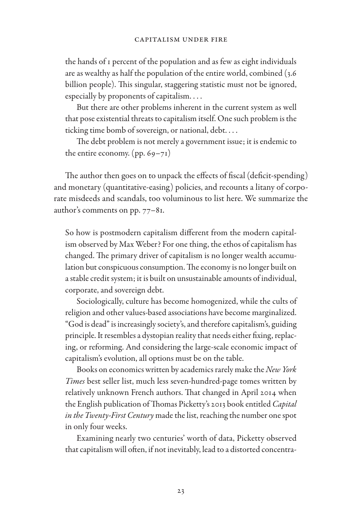the hands of 1 percent of the population and as few as eight individuals are as wealthy as half the population of the entire world, combined (3.6 billion people). This singular, staggering statistic must not be ignored, especially by proponents of capitalism. . . .

But there are other problems inherent in the current system as well that pose existential threats to capitalism itself. One such problem is the ticking time bomb of sovereign, or national, debt. . . .

The debt problem is not merely a government issue; it is endemic to the entire economy.  $(pp. 69-71)$ 

The author then goes on to unpack the effects of fiscal (deficit-spending) and monetary (quantitative-easing) policies, and recounts a litany of corporate misdeeds and scandals, too voluminous to list here. We summarize the author's comments on pp. 77–81.

So how is postmodern capitalism different from the modern capitalism observed by Max Weber? For one thing, the ethos of capitalism has changed. The primary driver of capitalism is no longer wealth accumulation but conspicuous consumption. The economy is no longer built on a stable credit system; it is built on unsustainable amounts of individual, corporate, and sovereign debt.

Sociologically, culture has become homogenized, while the cults of religion and other values-based associations have become marginalized. "God is dead" is increasingly society's, and therefore capitalism's, guiding principle. It resembles a dystopian reality that needs either fixing, replacing, or reforming. And considering the large-scale economic impact of capitalism's evolution, all options must be on the table.

Books on economics written by academics rarely make the *New York Times* best seller list, much less seven-hundred-page tomes written by relatively unknown French authors. That changed in April 2014 when the English publication of Thomas Picketty's 2013 book entitled *Capital in the Twenty-First Century* made the list, reaching the number one spot in only four weeks.

Examining nearly two centuries' worth of data, Picketty observed that capitalism will often, if not inevitably, lead to a distorted concentra-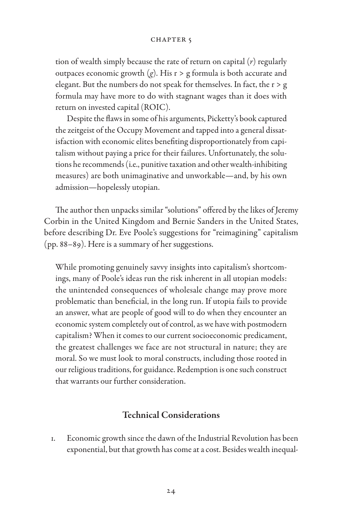tion of wealth simply because the rate of return on capital (*r*) regularly outpaces economic growth  $(g)$ . His  $r > g$  formula is both accurate and elegant. But the numbers do not speak for themselves. In fact, the r > g formula may have more to do with stagnant wages than it does with return on invested capital (ROIC).

Despite the flaws in some of his arguments, Picketty's book captured the zeitgeist of the Occupy Movement and tapped into a general dissatisfaction with economic elites benefiting disproportionately from capitalism without paying a price for their failures. Unfortunately, the solutions he recommends (i.e., punitive taxation and other wealth-inhibiting measures) are both unimaginative and unworkable—and, by his own admission—hopelessly utopian.

The author then unpacks similar "solutions" offered by the likes of Jeremy Corbin in the United Kingdom and Bernie Sanders in the United States, before describing Dr. Eve Poole's suggestions for "reimagining" capitalism (pp. 88–89). Here is a summary of her suggestions.

While promoting genuinely savvy insights into capitalism's shortcomings, many of Poole's ideas run the risk inherent in all utopian models: the unintended consequences of wholesale change may prove more problematic than beneficial, in the long run. If utopia fails to provide an answer, what are people of good will to do when they encounter an economic system completely out of control, as we have with postmodern capitalism? When it comes to our current socioeconomic predicament, the greatest challenges we face are not structural in nature; they are moral. So we must look to moral constructs, including those rooted in our religious traditions, for guidance. Redemption is one such construct that warrants our further consideration.

#### Technical Considerations

1. Economic growth since the dawn of the Industrial Revolution has been exponential, but that growth has come at a cost. Besides wealth inequal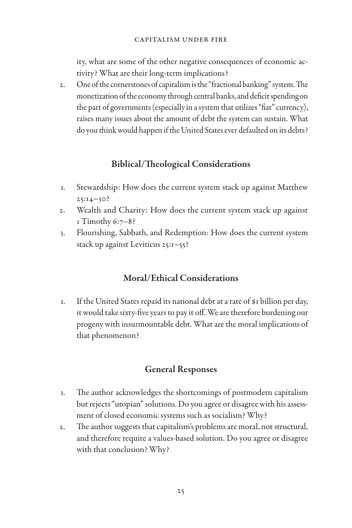ity, what are some of the other negative consequences of economic activity? What are their long-term implications?

2. One of the cornerstones of capitalism is the "fractional banking" system. The monetization of the economy through central banks, and deficit spending on the part of governments (especially in a system that utilizes "fiat" currency), raises many issues about the amount of debt the system can sustain. What do you think would happen if the United States ever defaulted on its debts?

## Biblical/Theological Considerations

- 1. Stewardship: How does the current system stack up against Matthew  $25:14-30?$
- 2. Wealth and Charity: How does the current system stack up against 1 Timothy 6:7–8?
- 3. Flourishing, Sabbath, and Redemption: How does the current system stack up against Leviticus 25:1–55?

## Moral/Ethical Considerations

1. If the United States repaid its national debt at a rate of \$1 billion per day, it would take sixty-five years to pay it off. We are therefore burdening our progeny with insurmountable debt. What are the moral implications of that phenomenon?

## General Responses

- 1. The author acknowledges the shortcomings of postmodern capitalism but rejects "utopian" solutions. Do you agree or disagree with his assessment of closed economic systems such as socialism? Why?
- 2. The author suggests that capitalism's problems are moral, not structural, and therefore require a values-based solution. Do you agree or disagree with that conclusion? Why?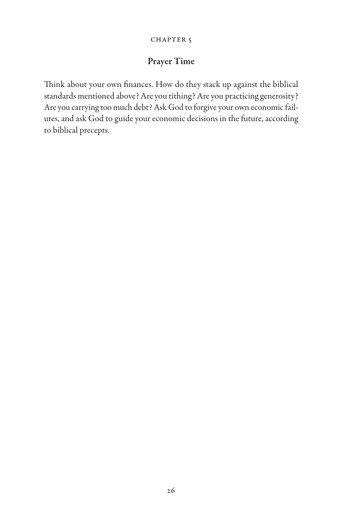#### CHAPTER<sub>5</sub>

## Prayer Time

Think about your own finances. How do they stack up against the biblical standards mentioned above? Are you tithing? Are you practicing generosity? Are you carrying too much debt? Ask God to forgive your own economic failures, and ask God to guide your economic decisions in the future, according to biblical precepts.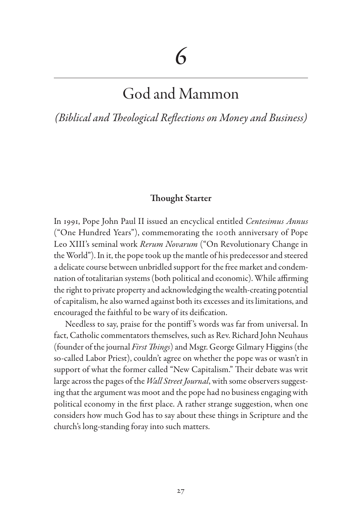## God and Mammon

*(Biblical and Theological Reflections on Money and Business)*

### Thought Starter

In 1991, Pope John Paul II issued an encyclical entitled *Centesimus Annus* ("One Hundred Years"), commemorating the 100th anniversary of Pope Leo XIII's seminal work *Rerum Novarum* ("On Revolutionary Change in the World"). In it, the pope took up the mantle of his predecessor and steered a delicate course between unbridled support for the free market and condemnation of totalitarian systems (both political and economic). While affirming the right to private property and acknowledging the wealth-creating potential of capitalism, he also warned against both its excesses and its limitations, and encouraged the faithful to be wary of its deification.

Needless to say, praise for the pontiff 's words was far from universal. In fact, Catholic commentators themselves, such as Rev. Richard John Neuhaus (founder of the journal *First Things*) and Msgr. George Gilmary Higgins (the so-called Labor Priest), couldn't agree on whether the pope was or wasn't in support of what the former called "New Capitalism." Their debate was writ large across the pages of the *Wall Street Journal*, with some observers suggesting that the argument was moot and the pope had no business engaging with political economy in the first place. A rather strange suggestion, when one considers how much God has to say about these things in Scripture and the church's long-standing foray into such matters.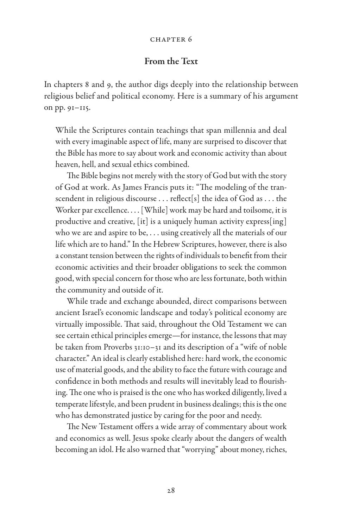#### Chapter 6

### From the Text

In chapters 8 and 9, the author digs deeply into the relationship between religious belief and political economy. Here is a summary of his argument on pp. 91–115.

While the Scriptures contain teachings that span millennia and deal with every imaginable aspect of life, many are surprised to discover that the Bible has more to say about work and economic activity than about heaven, hell, and sexual ethics combined.

The Bible begins not merely with the story of God but with the story of God at work. As James Francis puts it: "The modeling of the transcendent in religious discourse . . . reflect[s] the idea of God as . . . the Worker par excellence. . . . [While] work may be hard and toilsome, it is productive and creative, [it] is a uniquely human activity express[ing] who we are and aspire to be, . . . using creatively all the materials of our life which are to hand." In the Hebrew Scriptures, however, there is also a constant tension between the rights of individuals to benefit from their economic activities and their broader obligations to seek the common good, with special concern for those who are less fortunate, both within the community and outside of it.

While trade and exchange abounded, direct comparisons between ancient Israel's economic landscape and today's political economy are virtually impossible. That said, throughout the Old Testament we can see certain ethical principles emerge—for instance, the lessons that may be taken from Proverbs 31:10–31 and its description of a "wife of noble character." An ideal is clearly established here: hard work, the economic use of material goods, and the ability to face the future with courage and confidence in both methods and results will inevitably lead to flourishing. The one who is praised is the one who has worked diligently, lived a temperate lifestyle, and been prudent in business dealings; this is the one who has demonstrated justice by caring for the poor and needy.

The New Testament offers a wide array of commentary about work and economics as well. Jesus spoke clearly about the dangers of wealth becoming an idol. He also warned that "worrying" about money, riches,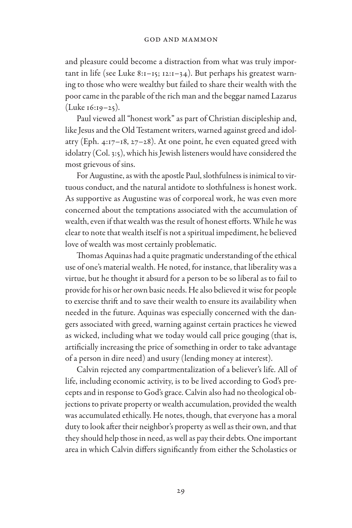and pleasure could become a distraction from what was truly important in life (see Luke 8:1–15; 12:1–34). But perhaps his greatest warning to those who were wealthy but failed to share their wealth with the poor came in the parable of the rich man and the beggar named Lazarus (Luke 16:19–25).

Paul viewed all "honest work" as part of Christian discipleship and, like Jesus and the Old Testament writers, warned against greed and idolatry (Eph.  $4:17-18$ ,  $27-28$ ). At one point, he even equated greed with idolatry (Col. 3:5), which his Jewish listeners would have considered the most grievous of sins.

For Augustine, as with the apostle Paul, slothfulness is inimical to virtuous conduct, and the natural antidote to slothfulness is honest work. As supportive as Augustine was of corporeal work, he was even more concerned about the temptations associated with the accumulation of wealth, even if that wealth was the result of honest efforts. While he was clear to note that wealth itself is not a spiritual impediment, he believed love of wealth was most certainly problematic.

Thomas Aquinas had a quite pragmatic understanding of the ethical use of one's material wealth. He noted, for instance, that liberality was a virtue, but he thought it absurd for a person to be so liberal as to fail to provide for his or her own basic needs. He also believed it wise for people to exercise thrift and to save their wealth to ensure its availability when needed in the future. Aquinas was especially concerned with the dangers associated with greed, warning against certain practices he viewed as wicked, including what we today would call price gouging (that is, artificially increasing the price of something in order to take advantage of a person in dire need) and usury (lending money at interest).

Calvin rejected any compartmentalization of a believer's life. All of life, including economic activity, is to be lived according to God's precepts and in response to God's grace. Calvin also had no theological objections to private property or wealth accumulation, provided the wealth was accumulated ethically. He notes, though, that everyone has a moral duty to look after their neighbor's property as well as their own, and that they should help those in need, as well as pay their debts. One important area in which Calvin differs significantly from either the Scholastics or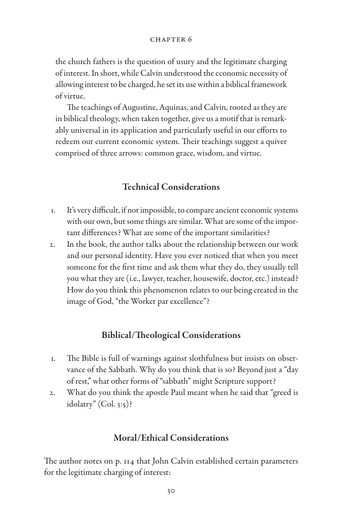#### Chapter 6

the church fathers is the question of usury and the legitimate charging of interest. In short, while Calvin understood the economic necessity of allowing interest to be charged, he set its use within a biblical framework of virtue.

The teachings of Augustine, Aquinas, and Calvin, rooted as they are in biblical theology, when taken together, give us a motif that is remarkably universal in its application and particularly useful in our efforts to redeem our current economic system. Their teachings suggest a quiver comprised of three arrows: common grace, wisdom, and virtue.

### Technical Considerations

- 1. It's very difficult, if not impossible, to compare ancient economic systems with our own, but some things are similar. What are some of the important differences? What are some of the important similarities?
- 2. In the book, the author talks about the relationship between our work and our personal identity. Have you ever noticed that when you meet someone for the first time and ask them what they do, they usually tell you what they are (i.e., lawyer, teacher, housewife, doctor, etc.) instead? How do you think this phenomenon relates to our being created in the image of God, "the Worker par excellence"?

### Biblical/Theological Considerations

- 1. The Bible is full of warnings against slothfulness but insists on observance of the Sabbath. Why do you think that is so? Beyond just a "day of rest," what other forms of "sabbath" might Scripture support?
- 2. What do you think the apostle Paul meant when he said that "greed is idolatry" (Col. 3:5)?

## Moral/Ethical Considerations

The author notes on p. 114 that John Calvin established certain parameters for the legitimate charging of interest: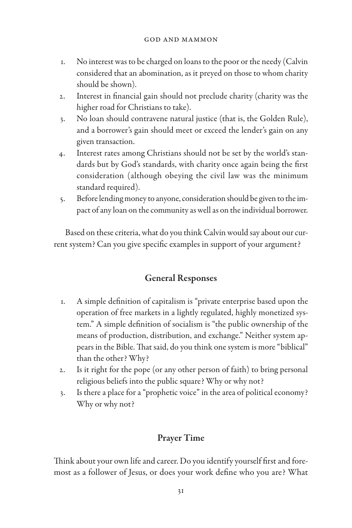- 1. No interest was to be charged on loans to the poor or the needy (Calvin considered that an abomination, as it preyed on those to whom charity should be shown).
- 2. Interest in financial gain should not preclude charity (charity was the higher road for Christians to take).
- 3. No loan should contravene natural justice (that is, the Golden Rule), and a borrower's gain should meet or exceed the lender's gain on any given transaction.
- 4. Interest rates among Christians should not be set by the world's standards but by God's standards, with charity once again being the first consideration (although obeying the civil law was the minimum standard required).
- 5. Before lending money to anyone, consideration should be given to the impact of any loan on the community as well as on the individual borrower.

Based on these criteria, what do you think Calvin would say about our current system? Can you give specific examples in support of your argument?

## General Responses

- 1. A simple definition of capitalism is "private enterprise based upon the operation of free markets in a lightly regulated, highly monetized system." A simple definition of socialism is "the public ownership of the means of production, distribution, and exchange." Neither system appears in the Bible. That said, do you think one system is more "biblical" than the other? Why?
- 2. Is it right for the pope (or any other person of faith) to bring personal religious beliefs into the public square? Why or why not?
- 3. Is there a place for a "prophetic voice" in the area of political economy? Why or why not?

## Prayer Time

Think about your own life and career. Do you identify yourself first and foremost as a follower of Jesus, or does your work define who you are? What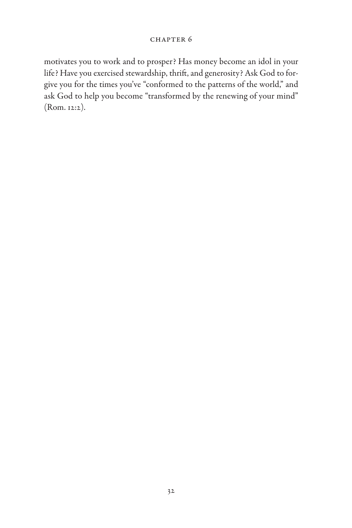motivates you to work and to prosper? Has money become an idol in your life? Have you exercised stewardship, thrift, and generosity? Ask God to forgive you for the times you've "conformed to the patterns of the world," and ask God to help you become "transformed by the renewing of your mind" (Rom. 12:2).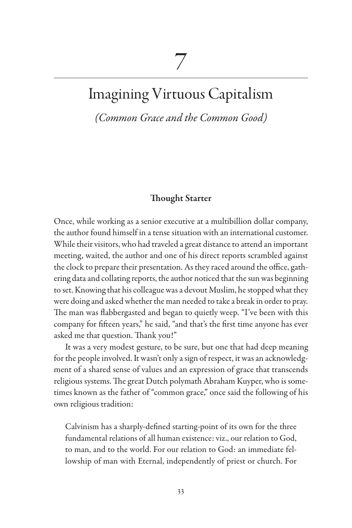## Imagining Virtuous Capitalism

*(Common Grace and the Common Good)*

### Thought Starter

Once, while working as a senior executive at a multibillion dollar company, the author found himself in a tense situation with an international customer. While their visitors, who had traveled a great distance to attend an important meeting, waited, the author and one of his direct reports scrambled against the clock to prepare their presentation. As they raced around the office, gathering data and collating reports, the author noticed that the sun was beginning to set. Knowing that his colleague was a devout Muslim, he stopped what they were doing and asked whether the man needed to take a break in order to pray. The man was flabbergasted and began to quietly weep. "I've been with this company for fifteen years," he said, "and that's the first time anyone has ever asked me that question. Thank you!"

It was a very modest gesture, to be sure, but one that had deep meaning for the people involved. It wasn't only a sign of respect, it was an acknowledgment of a shared sense of values and an expression of grace that transcends religious systems. The great Dutch polymath Abraham Kuyper, who is sometimes known as the father of "common grace," once said the following of his own religious tradition:

Calvinism has a sharply-defined starting-point of its own for the three fundamental relations of all human existence: viz., our relation to God, to man, and to the world. For our relation to God: an immediate fellowship of man with Eternal, independently of priest or church. For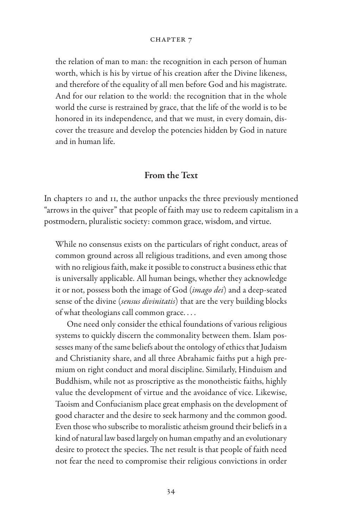the relation of man to man: the recognition in each person of human worth, which is his by virtue of his creation after the Divine likeness, and therefore of the equality of all men before God and his magistrate. And for our relation to the world: the recognition that in the whole world the curse is restrained by grace, that the life of the world is to be honored in its independence, and that we must, in every domain, discover the treasure and develop the potencies hidden by God in nature and in human life.

## From the Text

In chapters 10 and 11, the author unpacks the three previously mentioned "arrows in the quiver" that people of faith may use to redeem capitalism in a postmodern, pluralistic society: common grace, wisdom, and virtue.

While no consensus exists on the particulars of right conduct, areas of common ground across all religious traditions, and even among those with no religious faith, make it possible to construct a business ethic that is universally applicable. All human beings, whether they acknowledge it or not, possess both the image of God (*imago dei*) and a deep-seated sense of the divine (*sensus divinitatis*) that are the very building blocks of what theologians call common grace. . . .

One need only consider the ethical foundations of various religious systems to quickly discern the commonality between them. Islam possesses many of the same beliefs about the ontology of ethics that Judaism and Christianity share, and all three Abrahamic faiths put a high premium on right conduct and moral discipline. Similarly, Hinduism and Buddhism, while not as proscriptive as the monotheistic faiths, highly value the development of virtue and the avoidance of vice. Likewise, Taoism and Confucianism place great emphasis on the development of good character and the desire to seek harmony and the common good. Even those who subscribe to moralistic atheism ground their beliefs in a kind of natural law based largely on human empathy and an evolutionary desire to protect the species. The net result is that people of faith need not fear the need to compromise their religious convictions in order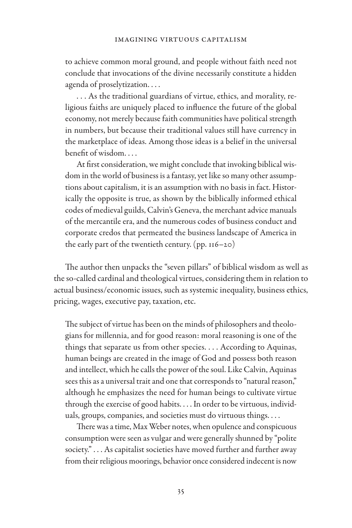to achieve common moral ground, and people without faith need not conclude that invocations of the divine necessarily constitute a hidden agenda of proselytization. . . .

. . . As the traditional guardians of virtue, ethics, and morality, religious faiths are uniquely placed to influence the future of the global economy, not merely because faith communities have political strength in numbers, but because their traditional values still have currency in the marketplace of ideas. Among those ideas is a belief in the universal benefit of wisdom. . . .

At first consideration, we might conclude that invoking biblical wisdom in the world of business is a fantasy, yet like so many other assumptions about capitalism, it is an assumption with no basis in fact. Historically the opposite is true, as shown by the biblically informed ethical codes of medieval guilds, Calvin's Geneva, the merchant advice manuals of the mercantile era, and the numerous codes of business conduct and corporate credos that permeated the business landscape of America in the early part of the twentieth century.  $(pp. 116-20)$ 

The author then unpacks the "seven pillars" of biblical wisdom as well as the so-called cardinal and theological virtues, considering them in relation to actual business/economic issues, such as systemic inequality, business ethics, pricing, wages, executive pay, taxation, etc.

The subject of virtue has been on the minds of philosophers and theologians for millennia, and for good reason: moral reasoning is one of the things that separate us from other species. . . . According to Aquinas, human beings are created in the image of God and possess both reason and intellect, which he calls the power of the soul. Like Calvin, Aquinas sees this as a universal trait and one that corresponds to "natural reason," although he emphasizes the need for human beings to cultivate virtue through the exercise of good habits. . . . In order to be virtuous, individuals, groups, companies, and societies must do virtuous things. . . .

There was a time, Max Weber notes, when opulence and conspicuous consumption were seen as vulgar and were generally shunned by "polite society." . . . As capitalist societies have moved further and further away from their religious moorings, behavior once considered indecent is now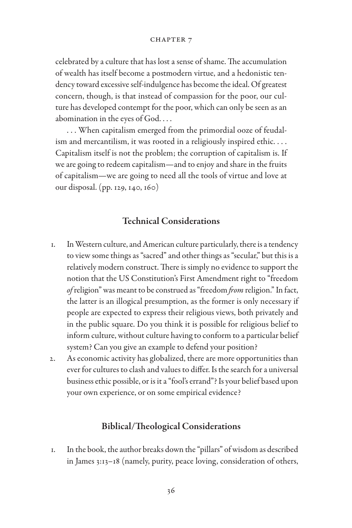celebrated by a culture that has lost a sense of shame. The accumulation of wealth has itself become a postmodern virtue, and a hedonistic tendency toward excessive self-indulgence has become the ideal. Of greatest concern, though, is that instead of compassion for the poor, our culture has developed contempt for the poor, which can only be seen as an abomination in the eyes of God. . . .

. . . When capitalism emerged from the primordial ooze of feudalism and mercantilism, it was rooted in a religiously inspired ethic. . . . Capitalism itself is not the problem; the corruption of capitalism is. If we are going to redeem capitalism—and to enjoy and share in the fruits of capitalism—we are going to need all the tools of virtue and love at our disposal. (pp. 129, 140, 160)

## Technical Considerations

- 1. In Western culture, and American culture particularly, there is a tendency to view some things as "sacred" and other things as "secular," but this is a relatively modern construct. There is simply no evidence to support the notion that the US Constitution's First Amendment right to "freedom *of* religion" was meant to be construed as "freedom *from* religion." In fact, the latter is an illogical presumption, as the former is only necessary if people are expected to express their religious views, both privately and in the public square. Do you think it is possible for religious belief to inform culture, without culture having to conform to a particular belief system? Can you give an example to defend your position?
- 2. As economic activity has globalized, there are more opportunities than ever for cultures to clash and values to differ. Is the search for a universal business ethic possible, or is it a "fool's errand"? Is your belief based upon your own experience, or on some empirical evidence?

#### Biblical/Theological Considerations

1. In the book, the author breaks down the "pillars" of wisdom as described in James 3:13–18 (namely, purity, peace loving, consideration of others,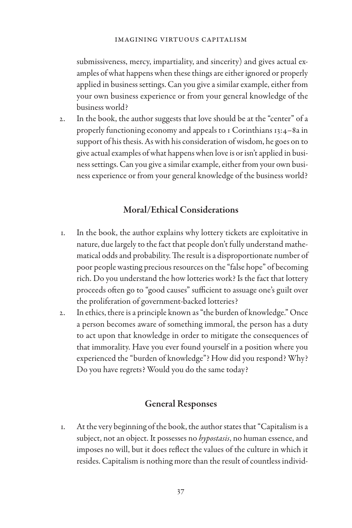submissiveness, mercy, impartiality, and sincerity) and gives actual examples of what happens when these things are either ignored or properly applied in business settings. Can you give a similar example, either from your own business experience or from your general knowledge of the business world?

2. In the book, the author suggests that love should be at the "center" of a properly functioning economy and appeals to 1 Corinthians 13:4–8a in support of his thesis. As with his consideration of wisdom, he goes on to give actual examples of what happens when love is or isn't applied in business settings. Can you give a similar example, either from your own business experience or from your general knowledge of the business world?

## Moral/Ethical Considerations

- 1. In the book, the author explains why lottery tickets are exploitative in nature, due largely to the fact that people don't fully understand mathematical odds and probability. The result is a disproportionate number of poor people wasting precious resources on the "false hope" of becoming rich. Do you understand the how lotteries work? Is the fact that lottery proceeds often go to "good causes" sufficient to assuage one's guilt over the proliferation of government-backed lotteries?
- 2. In ethics, there is a principle known as "the burden of knowledge." Once a person becomes aware of something immoral, the person has a duty to act upon that knowledge in order to mitigate the consequences of that immorality. Have you ever found yourself in a position where you experienced the "burden of knowledge"? How did you respond? Why? Do you have regrets? Would you do the same today?

## General Responses

1. At the very beginning of the book, the author states that "Capitalism is a subject, not an object. It possesses no *hypostasis*, no human essence, and imposes no will, but it does reflect the values of the culture in which it resides. Capitalism is nothing more than the result of countless individ-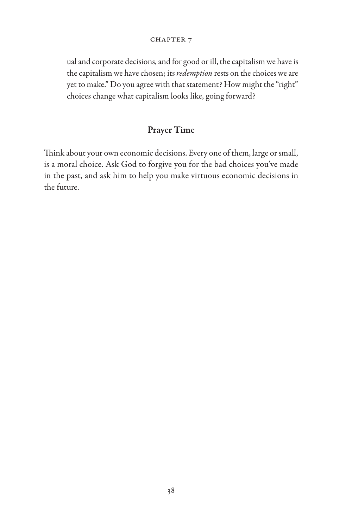ual and corporate decisions, and for good or ill, the capitalism we have is the capitalism we have chosen; its *redemption* rests on the choices we are yet to make." Do you agree with that statement? How might the "right" choices change what capitalism looks like, going forward?

## Prayer Time

Think about your own economic decisions. Every one of them, large or small, is a moral choice. Ask God to forgive you for the bad choices you've made in the past, and ask him to help you make virtuous economic decisions in the future.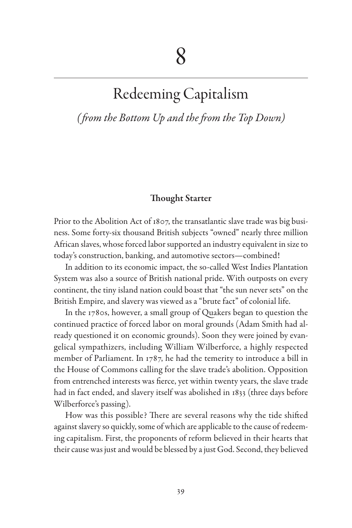## Redeeming Capitalism

*( from the Bottom Up and the from the Top Down)*

#### Thought Starter

Prior to the Abolition Act of 1807, the transatlantic slave trade was big business. Some forty-six thousand British subjects "owned" nearly three million African slaves, whose forced labor supported an industry equivalent in size to today's construction, banking, and automotive sectors—combined!

In addition to its economic impact, the so-called West Indies Plantation System was also a source of British national pride. With outposts on every continent, the tiny island nation could boast that "the sun never sets" on the British Empire, and slavery was viewed as a "brute fact" of colonial life.

In the 1780s, however, a small group of Quakers began to question the continued practice of forced labor on moral grounds (Adam Smith had already questioned it on economic grounds). Soon they were joined by evangelical sympathizers, including William Wilberforce, a highly respected member of Parliament. In 1787, he had the temerity to introduce a bill in the House of Commons calling for the slave trade's abolition. Opposition from entrenched interests was fierce, yet within twenty years, the slave trade had in fact ended, and slavery itself was abolished in 1833 (three days before Wilberforce's passing).

How was this possible? There are several reasons why the tide shifted against slavery so quickly, some of which are applicable to the cause of redeeming capitalism. First, the proponents of reform believed in their hearts that their cause was just and would be blessed by a just God. Second, they believed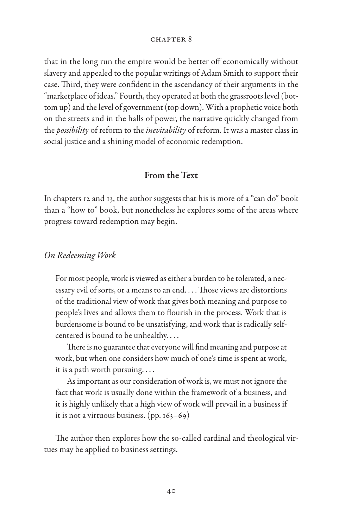that in the long run the empire would be better off economically without slavery and appealed to the popular writings of Adam Smith to support their case. Third, they were confident in the ascendancy of their arguments in the "marketplace of ideas." Fourth, they operated at both the grassroots level (bottom up) and the level of government (top down). With a prophetic voice both on the streets and in the halls of power, the narrative quickly changed from the *possibility* of reform to the *inevitability* of reform. It was a master class in social justice and a shining model of economic redemption.

### From the Text

In chapters 12 and 13, the author suggests that his is more of a "can do" book than a "how to" book, but nonetheless he explores some of the areas where progress toward redemption may begin.

#### *On Redeeming Work*

For most people, work is viewed as either a burden to be tolerated, a necessary evil of sorts, or a means to an end. . . . Those views are distortions of the traditional view of work that gives both meaning and purpose to people's lives and allows them to flourish in the process. Work that is burdensome is bound to be unsatisfying, and work that is radically selfcentered is bound to be unhealthy. . . .

There is no guarantee that everyone will find meaning and purpose at work, but when one considers how much of one's time is spent at work, it is a path worth pursuing. . . .

As important as our consideration of work is, we must not ignore the fact that work is usually done within the framework of a business, and it is highly unlikely that a high view of work will prevail in a business if it is not a virtuous business. (pp. 163–69)

The author then explores how the so-called cardinal and theological virtues may be applied to business settings.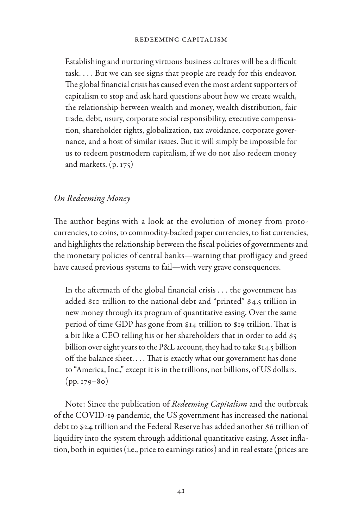Establishing and nurturing virtuous business cultures will be a difficult task. . . . But we can see signs that people are ready for this endeavor. The global financial crisis has caused even the most ardent supporters of capitalism to stop and ask hard questions about how we create wealth, the relationship between wealth and money, wealth distribution, fair trade, debt, usury, corporate social responsibility, executive compensation, shareholder rights, globalization, tax avoidance, corporate governance, and a host of similar issues. But it will simply be impossible for us to redeem postmodern capitalism, if we do not also redeem money and markets. (p. 175)

## *On Redeeming Money*

The author begins with a look at the evolution of money from protocurrencies, to coins, to commodity-backed paper currencies, to fiat currencies, and highlights the relationship between the fiscal policies of governments and the monetary policies of central banks—warning that profligacy and greed have caused previous systems to fail—with very grave consequences.

In the aftermath of the global financial crisis . . . the government has added \$10 trillion to the national debt and "printed" \$4.5 trillion in new money through its program of quantitative easing. Over the same period of time GDP has gone from \$14 trillion to \$19 trillion. That is a bit like a CEO telling his or her shareholders that in order to add \$5 billion over eight years to the P&L account, they had to take \$14.5 billion off the balance sheet. . . . That is exactly what our government has done to "America, Inc.," except it is in the trillions, not billions, of US dollars.  $(pp. 179-80)$ 

Note: Since the publication of *Redeeming Capitalism* and the outbreak of the COVID-19 pandemic, the US government has increased the national debt to \$24 trillion and the Federal Reserve has added another \$6 trillion of liquidity into the system through additional quantitative easing. Asset inflation, both in equities (i.e., price to earnings ratios) and in real estate (prices are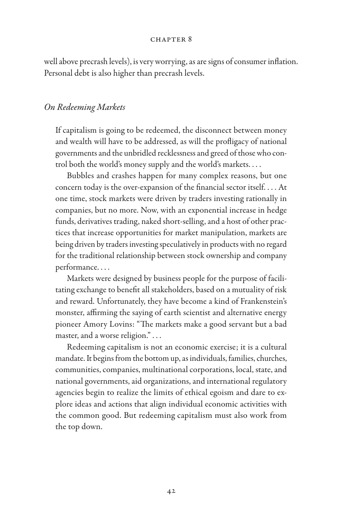well above precrash levels), is very worrying, as are signs of consumer inflation. Personal debt is also higher than precrash levels.

#### *On Redeeming Markets*

If capitalism is going to be redeemed, the disconnect between money and wealth will have to be addressed, as will the profligacy of national governments and the unbridled recklessness and greed of those who control both the world's money supply and the world's markets. . . .

Bubbles and crashes happen for many complex reasons, but one concern today is the over-expansion of the financial sector itself. . . . At one time, stock markets were driven by traders investing rationally in companies, but no more. Now, with an exponential increase in hedge funds, derivatives trading, naked short-selling, and a host of other practices that increase opportunities for market manipulation, markets are being driven by traders investing speculatively in products with no regard for the traditional relationship between stock ownership and company performance. . . .

Markets were designed by business people for the purpose of facilitating exchange to benefit all stakeholders, based on a mutuality of risk and reward. Unfortunately, they have become a kind of Frankenstein's monster, affirming the saying of earth scientist and alternative energy pioneer Amory Lovins: "The markets make a good servant but a bad master, and a worse religion." . . .

Redeeming capitalism is not an economic exercise; it is a cultural mandate. It begins from the bottom up, as individuals, families, churches, communities, companies, multinational corporations, local, state, and national governments, aid organizations, and international regulatory agencies begin to realize the limits of ethical egoism and dare to explore ideas and actions that align individual economic activities with the common good. But redeeming capitalism must also work from the top down.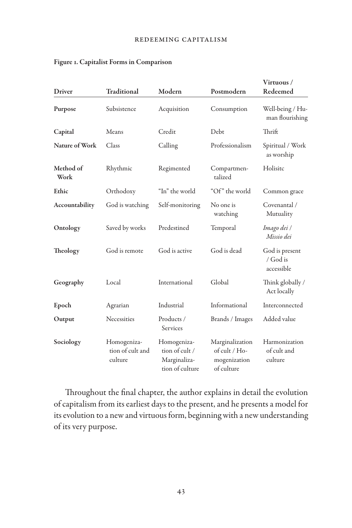|                   |                                            |                                                                  |                                                                | Virtuous /                               |
|-------------------|--------------------------------------------|------------------------------------------------------------------|----------------------------------------------------------------|------------------------------------------|
| Driver            | Traditional                                | Modern                                                           | Postmodern                                                     | Redeemed                                 |
| Purpose           | Subsistence                                | Acquisition                                                      | Consumption                                                    | Well-being / Hu-<br>man flourishing      |
| Capital           | Means                                      | Credit                                                           | Debt                                                           | Thrift                                   |
| Nature of Work    | Class                                      | Calling                                                          | Professionalism                                                | Spiritual / Work<br>as worship           |
| Method of<br>Work | Rhythmic                                   | Regimented                                                       | Compartmen-<br>talized                                         | Holisitc                                 |
| Ethic             | Orthodoxy                                  | "In" the world                                                   | "Of" the world                                                 | Common grace                             |
| Accountability    | God is watching                            | Self-monitoring                                                  | No one is<br>watching                                          | Covenantal /<br>Mutuality                |
| Ontology          | Saved by works                             | Predestined                                                      | Temporal                                                       | Imago dei /<br>Missio dei                |
| Theology          | God is remote                              | God is active                                                    | God is dead                                                    | God is present<br>/ God is<br>accessible |
| Geography         | Local                                      | International                                                    | Global                                                         | Think globally /<br>Act locally          |
| Epoch             | Agrarian                                   | Industrial                                                       | Informational                                                  | Interconnected                           |
| Output            | Necessities                                | Products /<br>Services                                           | Brands / Images                                                | Added value                              |
| Sociology         | Homogeniza-<br>tion of cult and<br>culture | Homogeniza-<br>tion of cult /<br>Marginaliza-<br>tion of culture | Marginalization<br>of cult / Ho-<br>mogenization<br>of culture | Harmonization<br>of cult and<br>culture  |

#### Figure 1. Capitalist Forms in Comparison

Throughout the final chapter, the author explains in detail the evolution of capitalism from its earliest days to the present, and he presents a model for its evolution to a new and virtuous form, beginning with a new understanding of its very purpose.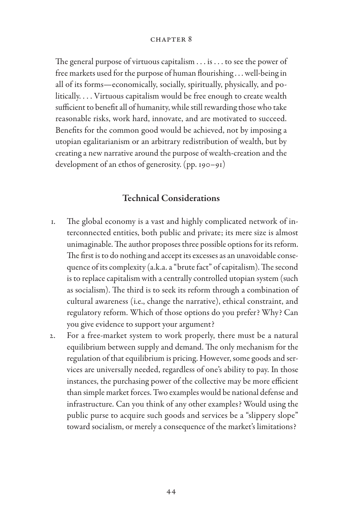The general purpose of virtuous capitalism . . . is . . . to see the power of free markets used for the purpose of human flourishing . . . well-being in all of its forms—economically, socially, spiritually, physically, and politically. . . . Virtuous capitalism would be free enough to create wealth sufficient to benefit all of humanity, while still rewarding those who take reasonable risks, work hard, innovate, and are motivated to succeed. Benefits for the common good would be achieved, not by imposing a utopian egalitarianism or an arbitrary redistribution of wealth, but by creating a new narrative around the purpose of wealth-creation and the development of an ethos of generosity. (pp. 190–91)

## Technical Considerations

- 1. The global economy is a vast and highly complicated network of interconnected entities, both public and private; its mere size is almost unimaginable. The author proposes three possible options for its reform. The first is to do nothing and accept its excesses as an unavoidable consequence of its complexity (a.k.a. a "brute fact" of capitalism). The second is to replace capitalism with a centrally controlled utopian system (such as socialism). The third is to seek its reform through a combination of cultural awareness (i.e., change the narrative), ethical constraint, and regulatory reform. Which of those options do you prefer? Why? Can you give evidence to support your argument?
- 2. For a free-market system to work properly, there must be a natural equilibrium between supply and demand. The only mechanism for the regulation of that equilibrium is pricing. However, some goods and services are universally needed, regardless of one's ability to pay. In those instances, the purchasing power of the collective may be more efficient than simple market forces. Two examples would be national defense and infrastructure. Can you think of any other examples? Would using the public purse to acquire such goods and services be a "slippery slope" toward socialism, or merely a consequence of the market's limitations?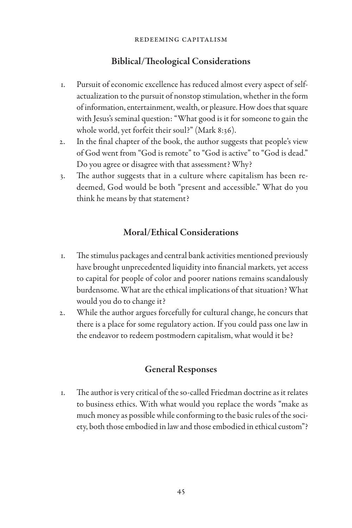## Biblical/Theological Considerations

- 1. Pursuit of economic excellence has reduced almost every aspect of selfactualization to the pursuit of nonstop stimulation, whether in the form of information, entertainment, wealth, or pleasure. How does that square with Jesus's seminal question: "What good is it for someone to gain the whole world, yet forfeit their soul?" (Mark 8:36).
- 2. In the final chapter of the book, the author suggests that people's view of God went from "God is remote" to "God is active" to "God is dead." Do you agree or disagree with that assessment? Why?
- 3. The author suggests that in a culture where capitalism has been redeemed, God would be both "present and accessible." What do you think he means by that statement?

## Moral/Ethical Considerations

- 1. The stimulus packages and central bank activities mentioned previously have brought unprecedented liquidity into financial markets, yet access to capital for people of color and poorer nations remains scandalously burdensome. What are the ethical implications of that situation? What would you do to change it?
- 2. While the author argues forcefully for cultural change, he concurs that there is a place for some regulatory action. If you could pass one law in the endeavor to redeem postmodern capitalism, what would it be?

## General Responses

1. The author is very critical of the so-called Friedman doctrine as it relates to business ethics. With what would you replace the words "make as much money as possible while conforming to the basic rules of the society, both those embodied in law and those embodied in ethical custom"?